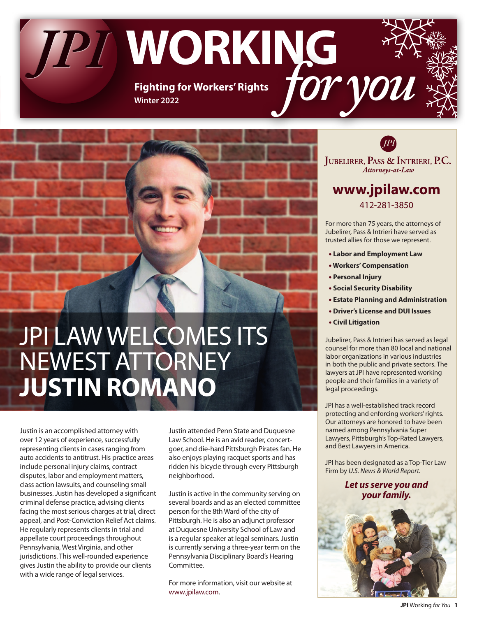# **WORKING Fighting for Workers' Rights Winter 2022** *for you*



# JPI LAW WELCOMES ITS NEWEST ATTORNEY **JUSTIN ROMANO**

Justin is an accomplished attorney with over 12 years of experience, successfully representing clients in cases ranging from auto accidents to antitrust. His practice areas include personal injury claims, contract disputes, labor and employment matters, class action lawsuits, and counseling small businesses. Justin has developed a significant criminal defense practice, advising clients facing the most serious charges at trial, direct appeal, and Post-Conviction Relief Act claims. He regularly represents clients in trial and appellate court proceedings throughout Pennsylvania, West Virginia, and other jurisdictions. This well-rounded experience gives Justin the ability to provide our clients with a wide range of legal services.

Justin attended Penn State and Duquesne Law School. He is an avid reader, concertgoer, and die-hard Pittsburgh Pirates fan. He also enjoys playing racquet sports and has ridden his bicycle through every Pittsburgh neighborhood.

Justin is active in the community serving on several boards and as an elected committee person for the 8th Ward of the city of Pittsburgh. He is also an adjunct professor at Duquesne University School of Law and is a regular speaker at legal seminars. Justin is currently serving a three-year term on the Pennsylvania Disciplinary Board's Hearing Committee.

For more information, visit our website at www.jpilaw.com.



### **www.jpilaw.com** 412-281-3850

For more than 75 years, the attorneys of Jubelirer, Pass & Intrieri have served as trusted allies for those we represent.

- **Labor and Employment Law**
- **Workers' Compensation**
- **Personal Injury**
- **Social Security Disability**
- **Estate Planning and Administration**
- **Driver's License and DUI Issues**
- **Civil Litigation**

Jubelirer, Pass & Intrieri has served as legal counsel for more than 80 local and national labor organizations in various industries in both the public and private sectors. The lawyers at JPI have represented working people and their families in a variety of legal proceedings.

JPI has a well-established track record protecting and enforcing workers' rights. Our attorneys are honored to have been named among Pennsylvania Super Lawyers, Pittsburgh's Top-Rated Lawyers, and Best Lawyers in America.

JPI has been designated as a Top-Tier Law Firm by *U.S. News & World Report.*

#### *Let us serve you and your family.*



**JPI** Working *for You* **1**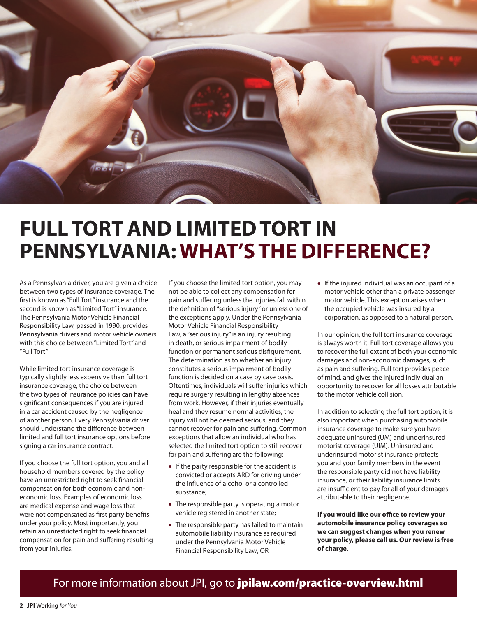

## **FULL TORT AND LIMITED TORT IN PENNSYLVANIA: WHAT'S THE DIFFERENCE?**

As a Pennsylvania driver, you are given a choice between two types of insurance coverage. The first is known as "Full Tort" insurance and the second is known as "Limited Tort" insurance. The Pennsylvania Motor Vehicle Financial Responsibility Law, passed in 1990, provides Pennsylvania drivers and motor vehicle owners with this choice between "Limited Tort" and "Full Tort."

While limited tort insurance coverage is typically slightly less expensive than full tort insurance coverage, the choice between the two types of insurance policies can have significant consequences if you are injured in a car accident caused by the negligence of another person. Every Pennsylvania driver should understand the difference between limited and full tort insurance options before signing a car insurance contract.

If you choose the full tort option, you and all household members covered by the policy have an unrestricted right to seek financial compensation for both economic and noneconomic loss. Examples of economic loss are medical expense and wage loss that were not compensated as first party benefits under your policy. Most importantly, you retain an unrestricted right to seek financial compensation for pain and suffering resulting from your injuries.

If you choose the limited tort option, you may not be able to collect any compensation for pain and suffering unless the injuries fall within the definition of "serious injury" or unless one of the exceptions apply. Under the Pennsylvania Motor Vehicle Financial Responsibility Law, a "serious injury" is an injury resulting in death, or serious impairment of bodily function or permanent serious disfigurement. The determination as to whether an injury constitutes a serious impairment of bodily function is decided on a case by case basis. Oftentimes, individuals will suffer injuries which require surgery resulting in lengthy absences from work. However, if their injuries eventually heal and they resume normal activities, the injury will not be deemed serious, and they cannot recover for pain and suffering. Common exceptions that allow an individual who has selected the limited tort option to still recover for pain and suffering are the following:

- If the party responsible for the accident is convicted or accepts ARD for driving under the influence of alcohol or a controlled substance;
- The responsible party is operating a motor vehicle registered in another state;
- The responsible party has failed to maintain automobile liability insurance as required under the Pennsylvania Motor Vehicle Financial Responsibility Law; OR

• If the injured individual was an occupant of a motor vehicle other than a private passenger motor vehicle. This exception arises when the occupied vehicle was insured by a corporation, as opposed to a natural person.

In our opinion, the full tort insurance coverage is always worth it. Full tort coverage allows you to recover the full extent of both your economic damages and non-economic damages, such as pain and suffering. Full tort provides peace of mind, and gives the injured individual an opportunity to recover for all losses attributable to the motor vehicle collision.

In addition to selecting the full tort option, it is also important when purchasing automobile insurance coverage to make sure you have adequate uninsured (UM) and underinsured motorist coverage (UIM). Uninsured and underinsured motorist insurance protects you and your family members in the event the responsible party did not have liability insurance, or their liability insurance limits are insufficient to pay for all of your damages attributable to their negligence.

**If you would like our office to review your automobile insurance policy coverages so we can suggest changes when you renew your policy, please call us. Our review is free of charge.**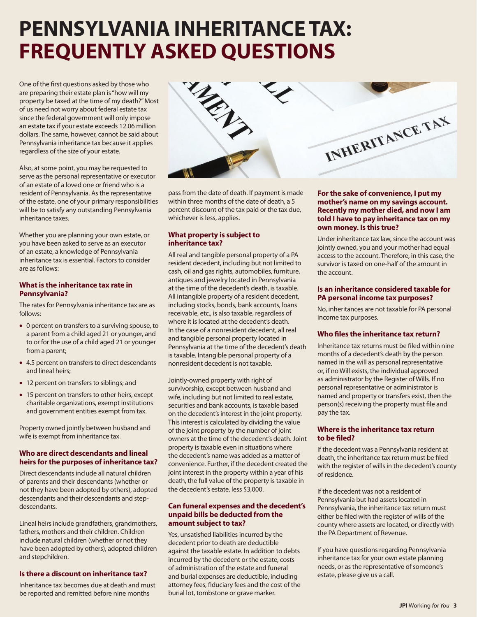## **PENNSYLVANIA INHERITANCE TAX: FREQUENTLY ASKED QUESTIONS**

One of the first questions asked by those who are preparing their estate plan is "how will my property be taxed at the time of my death?" Most of us need not worry about federal estate tax since the federal government will only impose an estate tax if your estate exceeds 12.06 million dollars. The same, however, cannot be said about Pennsylvania inheritance tax because it applies regardless of the size of your estate.

Also, at some point, you may be requested to serve as the personal representative or executor of an estate of a loved one or friend who is a resident of Pennsylvania. As the representative of the estate, one of your primary responsibilities will be to satisfy any outstanding Pennsylvania inheritance taxes.

Whether you are planning your own estate, or you have been asked to serve as an executor of an estate, a knowledge of Pennsylvania inheritance tax is essential. Factors to consider are as follows:

#### **What is the inheritance tax rate in Pennsylvania?**

The rates for Pennsylvania inheritance tax are as follows:

- 0 percent on transfers to a surviving spouse, to a parent from a child aged 21 or younger, and to or for the use of a child aged 21 or younger from a parent;
- 4.5 percent on transfers to direct descendants and lineal heirs;
- 12 percent on transfers to siblings; and
- 15 percent on transfers to other heirs, except charitable organizations, exempt institutions and government entities exempt from tax.

Property owned jointly between husband and wife is exempt from inheritance tax.

#### **Who are direct descendants and lineal heirs for the purposes of inheritance tax?**

Direct descendants include all natural children of parents and their descendants (whether or not they have been adopted by others), adopted descendants and their descendants and stepdescendants.

Lineal heirs include grandfathers, grandmothers, fathers, mothers and their children. Children include natural children (whether or not they have been adopted by others), adopted children and stepchildren.

#### **Is there a discount on inheritance tax?**

Inheritance tax becomes due at death and must be reported and remitted before nine months



pass from the date of death. If payment is made within three months of the date of death, a 5 percent discount of the tax paid or the tax due, whichever is less, applies.

#### **What property is subject to inheritance tax?**

All real and tangible personal property of a PA resident decedent, including but not limited to cash, oil and gas rights, automobiles, furniture, antiques and jewelry located in Pennsylvania at the time of the decedent's death, is taxable. All intangible property of a resident decedent, including stocks, bonds, bank accounts, loans receivable, etc., is also taxable, regardless of where it is located at the decedent's death. In the case of a nonresident decedent, all real and tangible personal property located in Pennsylvania at the time of the decedent's death is taxable. Intangible personal property of a nonresident decedent is not taxable.

Jointly-owned property with right of survivorship, except between husband and wife, including but not limited to real estate, securities and bank accounts, is taxable based on the decedent's interest in the joint property. This interest is calculated by dividing the value of the joint property by the number of joint owners at the time of the decedent's death. Joint property is taxable even in situations where the decedent's name was added as a matter of convenience. Further, if the decedent created the joint interest in the property within a year of his death, the full value of the property is taxable in the decedent's estate, less \$3,000.

#### **Can funeral expenses and the decedent's unpaid bills be deducted from the amount subject to tax?**

Yes, unsatisfied liabilities incurred by the decedent prior to death are deductible against the taxable estate. In addition to debts incurred by the decedent or the estate, costs of administration of the estate and funeral and burial expenses are deductible, including attorney fees, fiduciary fees and the cost of the burial lot, tombstone or grave marker.

#### **For the sake of convenience, I put my mother's name on my savings account. Recently my mother died, and now I am told I have to pay inheritance tax on my own money. Is this true?**

Under inheritance tax law, since the account was jointly owned, you and your mother had equal access to the account. Therefore, in this case, the survivor is taxed on one-half of the amount in the account.

#### **Is an inheritance considered taxable for PA personal income tax purposes?**

No, inheritances are not taxable for PA personal income tax purposes.

#### **Who files the inheritance tax return?**

Inheritance tax returns must be filed within nine months of a decedent's death by the person named in the will as personal representative or, if no Will exists, the individual approved as administrator by the Register of Wills. If no personal representative or administrator is named and property or transfers exist, then the person(s) receiving the property must file and pay the tax.

#### **Where is the inheritance tax return to be filed?**

If the decedent was a Pennsylvania resident at death, the inheritance tax return must be filed with the register of wills in the decedent's county of residence.

If the decedent was not a resident of Pennsylvania but had assets located in Pennsylvania, the inheritance tax return must either be filed with the register of wills of the county where assets are located, or directly with the PA Department of Revenue.

If you have questions regarding Pennsylvania inheritance tax for your own estate planning needs, or as the representative of someone's estate, please give us a call.